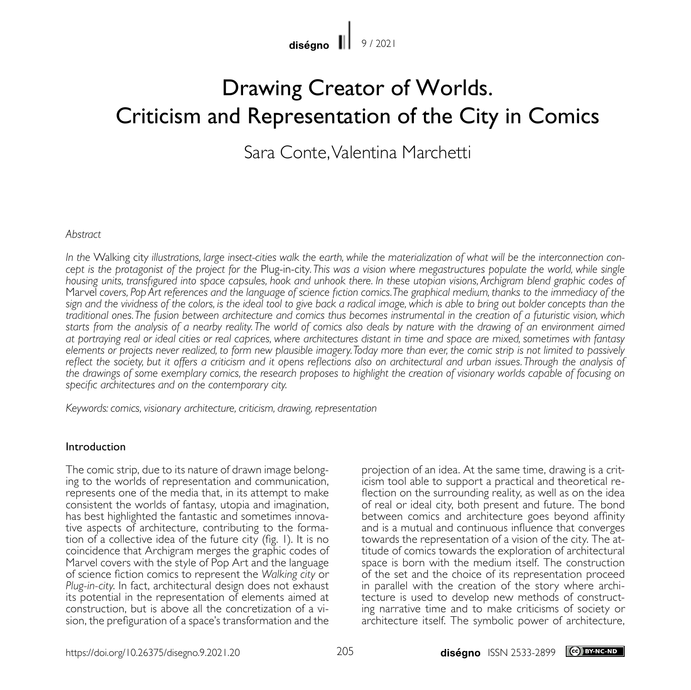diségno $\|$ 9 / 2021

# Drawing Creator of Worlds. Criticism and Representation of the City in Comics

Sara Conte, Valentina Marchetti

### *Abstract*

*In the* Walking city *illustrations, large insect-cities walk the earth, while the materialization of what will be the interconnection concept is the protagonist of the project for the* Plug-in-city*. This was a vision where megastructures populate the world, while single housing units, transfigured into space capsules, hook and unhook there. In these utopian visions, Archigram blend graphic codes of*  Marvel *covers, Pop Art references and the language of science fiction comics. The graphical medium, thanks to the immediacy of the sign and the vividness of the colors, is the ideal tool to give back a radical image, which is able to bring out bolder concepts than the traditional ones. The fusion between architecture and comics thus becomes instrumental in the creation of a futuristic vision, which starts from the analysis of a nearby reality. The world of comics also deals by nature with the drawing of an environment aimed at portraying real or ideal cities or real caprices, where architectures distant in time and space are mixed, sometimes with fantasy elements or projects never realized, to form new plausible imagery. Today more than ever, the comic strip is not limited to passively reflect the society, but it offers a criticism and it opens reflections also on architectural and urban issues. Through the analysis of the drawings of some exemplary comics, the research proposes to highlight the creation of visionary worlds capable of focusing on specific architectures and on the contemporary city.*

*Keywords: comics, visionary architecture, criticism, drawing, representation*

## Introduction

The comic strip, due to its nature of drawn image belong-<br>ing to the worlds of representation and communication, represents one of the media that, in its attempt to make consistent the worlds of fantasy, utopia and imagination, tive aspects of architecture, contributing to the formation of a collective idea of the future city (fig. 1). It is no coincidence that Archigram merges the graphic codes of Marvel covers with the style of Pop Art and the language of science fiction comics to represent the *Walking city* or *Plug-in-city*. In fact, architectural design does not exhaust its potential in the representation of elements aimed at construction, but is above all the concretization of a vision, the prefiguration of a space's transformation and the projection of an idea. At the same time, drawing is a crit- icism tool able to support a practical and theoretical re- flection on the surrounding reality, as well as on the idea of real or ideal city, both present and future. The bond between comics and architecture goes beyond affinity and is a mutual and continuous influence that converges towards the representation of a vision of the city. The attitude of comics towards the exploration of architectural space is born with the medium itself. The construction of the set and the choice of its representation proceed in parallel with the creation of the story where architecture is used to develop new methods of constructing narrative time and to make criticisms of society or architecture itself. The symbolic power of architecture,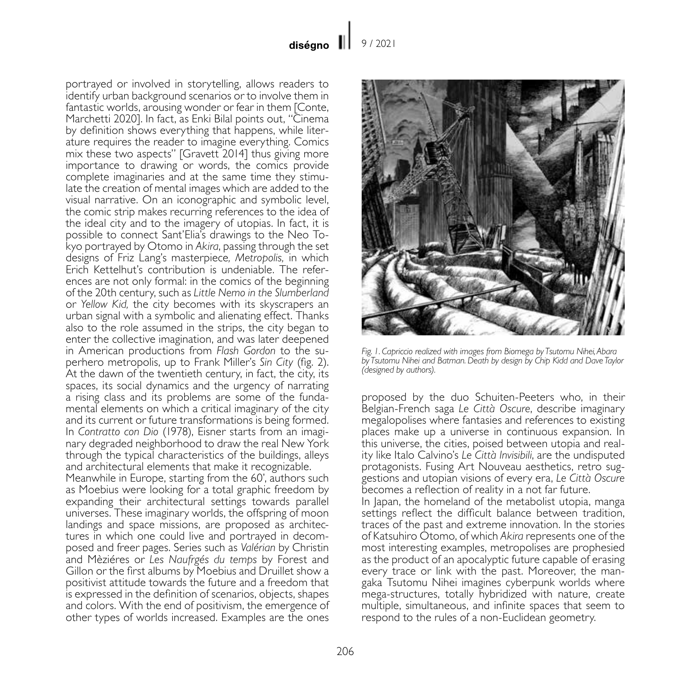portrayed or involved in storytelling, allows readers to identify urban background scenarios or to involve them in fantastic worlds, arousing wonder or fear in them [Conte, Marchetti 2020]. In fact, as Enki Bilal points out, "Cinema by definition shows everything that happens, while literature requires the reader to imagine everything. Comics mix these two aspects" [Gravett 2014] thus giving more importance to drawing or words, the comics provide complete imaginaries and at the same time they stimulate the creation of mental images which are added to the visual narrative. On an iconographic and symbolic level, the comic strip makes recurring references to the idea of the ideal city and to the imagery of utopias. In fact, it is possible to connect Sant'Elia's drawings to the Neo Tokyo portrayed by Otomo in *Akira*, passing through the set designs of Friz Lang's masterpiece*, Metropolis,* in which Erich Kettelhut's contribution is undeniable. The references are not only formal: in the comics of the beginning of the 20th century, such as *Little Nemo in the Slumberland* or *Yellow Kid,* the city becomes with its skyscrapers an urban signal with a symbolic and alienating effect. Thanks also to the role assumed in the strips, the city began to enter the collective imagination, and was later deepened in American productions from *Flash Gordon* to the su- perhero metropolis, up to Frank Miller's *Sin City* (fig. 2). At the dawn of the twentieth century, in fact, the city, its spaces, its social dynamics and the urgency of narrating a rising class and its problems are some of the fundamental elements on which a critical imaginary of the city and its current or future transformations is being formed.<br>In Contratto con Dio (1978), Eisner starts from an imaginary degraded neighborhood to draw the real New York through the typical characteristics of the buildings, alleys and architectural elements that make it recognizable.

Meanwhile in Europe, starting from the 60', authors such as Moebius were looking for a total graphic freedom by expanding their architectural settings towards parallel universes. These imaginary worlds, the offspring of moon landings and space missions, are proposed as architectures in which one could live and portrayed in decomposed and freer pages. Series such as *Valérian* by Christin and Mèziéres or *Les Naufrgés du temps* by Forest and Gillon or the first albums by Moebius and Druillet show a positivist attitude towards the future and a freedom that is expressed in the definition of scenarios, objects, shapes and colors. With the end of positivism, the emergence of other types of worlds increased. Examples are the ones



*Fig. 1. Capriccio realized with images from Biomega by Tsutomu Nihei, Abara by Tsutomu Nihei and Batman. Death by design by Chip Kidd and Dave Taylor (designed by authors).*

proposed by the duo Schuiten-Peeters who, in their Belgian-French saga *Le Città Oscure*, describe imaginary megalopolises where fantasies and references to existing places make up a universe in continuous expansion. In this universe, the cities, poised between utopia and reality like Italo Calvino's *Le Città Invisibili*, are the undisputed pestions and utopian visions of every era, *Le Città Oscure* becomes a reflection of reality in a not far future. In Japan, the homeland of the metabolist utopia, manga settings reflect the difficult balance between tradition, traces of the past and extreme innovation. In the stories of Katsuhiro Otomo, of which *Akira* represents one of the most interesting examples, metropolises are prophesied as the product of an apocalyptic future capable of erasing every trace or link with the past. Moreover, the mangaka Tsutomu Nihei imagines cyberpunk worlds where mega-structures, totally hybridized with nature, create multiple, simultaneous, and infinite spaces that seem to respond to the rules of a non-Euclidean geometry.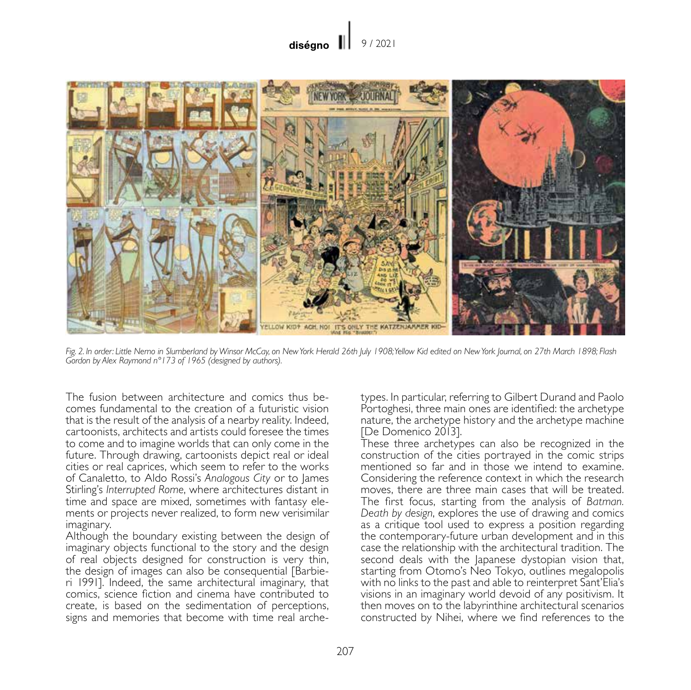

*Fig. 2. In order: Little Nemo in Slumberland by Winsor McCay, on New York Herald 26th July 1908; Yellow Kid edited on New York Journal, on 27th March 1898; Flash Gordon by Alex Raymond n°173 of 1965 (designed by authors).*

The fusion between architecture and comics thus becomes fundamental to the creation of a futuristic vision that is the result of the analysis of a nearby reality. Indeed, cartoonists, architects and artists could foresee the times to come and to imagine worlds that can only come in the future. Through drawing, cartoonists depict real or ideal cities or real caprices, which seem to refer to the works of Canaletto, to Aldo Rossi's *Analogous City* or to James Stirling's *Interrupted Rome*, where architectures distant in time and space are mixed, sometimes with fantasy elements or projects never realized, to form new verisimilar imaginary.

Although the boundary existing between the design of imaginary objects functional to the story and the design of real objects designed for construction is very thin, the design of images can also be consequential [Barbieri 1991]. Indeed, the same architectural imaginary, that comics, science fiction and cinema have contributed to create, is based on the sedimentation of perceptions, signs and memories that become with time real archetypes. In particular, referring to Gilbert Durand and Paolo Portoghesi, three main ones are identified: the archetype nature, the archetype history and the archetype machine [De Domenico 2013].

These three archetypes can also be recognized in the construction of the cities portrayed in the comic strips mentioned so far and in those we intend to examine. Considering the reference context in which the research moves, there are three main cases that will be treated. The first focus, starting from the analysis of *Batman. Death by design*, explores the use of drawing and comics as a critique tool used to express a position regarding the contemporary-future urban development and in this case the relationship with the architectural tradition. The second deals with the Japanese dystopian vision that, starting from Otomo's Neo Tokyo, outlines megalopolis with no links to the past and able to reinterpret Sant'Elia's visions in an imaginary world devoid of any positivism. It then moves on to the labyrinthine architectural scenarios constructed by Nihei, where we find references to the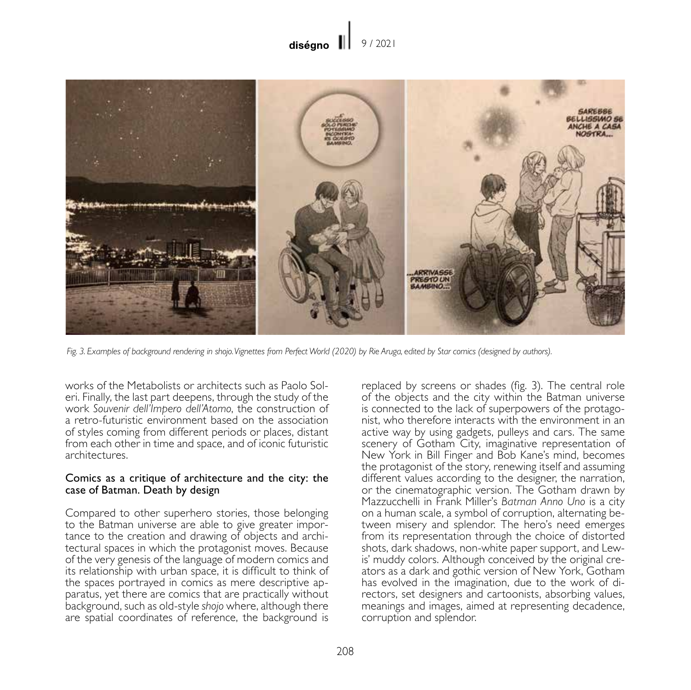

*Fig. 3. Examples of background rendering in shojo. Vignettes from Perfect World (2020) by Rie Aruga, edited by Star comics (designed by authors).*

works of the Metabolists or architects such as Paolo Soleri. Finally, the last part deepens, through the study of the work *Souvenir dell'Impero dell'Atomo*, the construction of a retro-futuristic environment based on the association of styles coming from different periods or places, distant from each other in time and space, and of iconic futuristic architectures.

## Comics as a critique of architecture and the city: the case of Batman. Death by design

Compared to other superhero stories, those belonging to the Batman universe are able to give greater importance to the creation and drawing of objects and architectural spaces in which the protagonist moves. Because of the very genesis of the language of modern comics and its relationship with urban space, it is difficult to think of the spaces portrayed in comics as mere descriptive apparatus, yet there are comics that are practically without background, such as old-style *shojo* where, although there are spatial coordinates of reference, the background is

replaced by screens or shades (fig. 3). The central role of the objects and the city within the Batman universe is connected to the lack of superpowers of the protagonist, who therefore interacts with the environment in an active way by using gadgets, pulleys and cars. The same scenery of Gotham City, imaginative representation of New York in Bill Finger and Bob Kane's mind, becomes the protagonist of the story, renewing itself and assuming different values according to the designer, the narration, or the cinematographic version. The Gotham drawn by Mazzucchelli in Frank Miller's *Batman Anno Uno* is a city on a human scale, a symbol of corruption, alternating between misery and splendor. The hero's need emerges from its representation through the choice of distorted shots, dark shadows, non-white paper support, and Lewis' muddy colors. Although conceived by the original creators as a dark and gothic version of New York, Gotham has evolved in the imagination, due to the work of directors, set designers and cartoonists, absorbing values, meanings and images, aimed at representing decadence, corruption and splendor.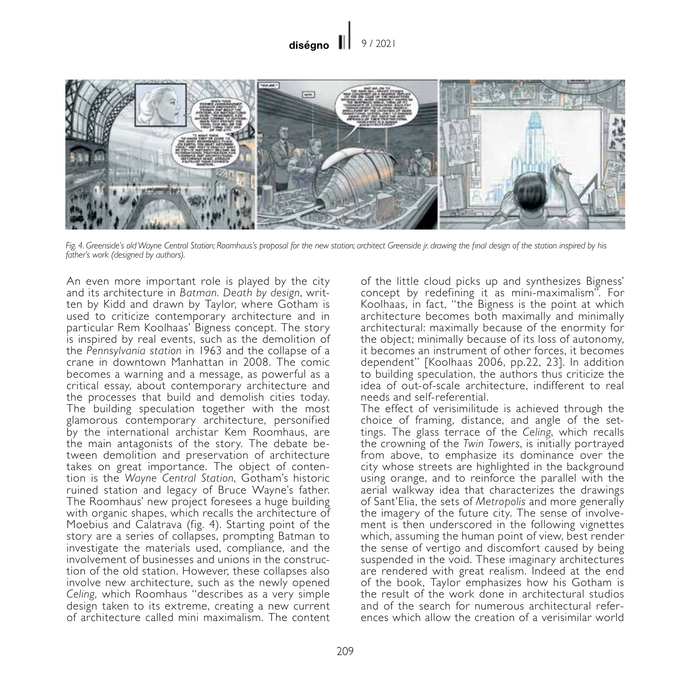#### diségno II 9 / 2021



*Fig. 4. Greenside's old Wayne Central Station; Roomhaus's proposal for the new station; architect Greenside jr. drawing the final design of the station inspired by his father's work (designed by authors).*

An even more important role is played by the city and its architecture in *Batman. Death by design*, written by Kidd and drawn by Taylor, where Gotham is used to criticize contemporary architecture and in particular Rem Koolhaas' Bigness concept. The story is inspired by real events, such as the demolition of the *Pennsylvania station* in 1963 and the collapse of a crane in downtown Manhattan in 2008. The comic becomes a warning and a message, as powerful as a critical essay, about contemporary architecture and the processes that build and demolish cities today. The building speculation together with the most glamorous contemporary architecture, personified by the international archistar Kem Roomhaus, are the main antagonists of the story. The debate between demolition and preservation of architecture takes on great importance. The object of contention is the *Wayne Central Station*, Gotham's historic ruined station and legacy of Bruce Wayne's father. The Roomhaus' new project foresees a huge building with organic shapes, which recalls the architecture of Moebius and Calatrava (fig. 4). Starting point of the story are a series of collapses, prompting Batman to investigate the materials used, compliance, and the involvement of businesses and unions in the construction of the old station. However, these collapses also involve new architecture, such as the newly opened *Celing,* which Roomhaus "describes as a very simple design taken to its extreme, creating a new current of architecture called mini maximalism. The content

of the little cloud picks up and synthesizes Bigness' concept by redefining it as mini-maximalism". For Koolhaas, in fact, "the Bigness is the point at which architecture becomes both maximally and minimally architectural: maximally because of the enormity for the object; minimally because of its loss of autonomy. it becomes an instrument of other forces, it becomes dependent" [Koolhaas 2006, pp.22, 23]. In addition to building speculation, the authors thus criticize the idea of out-of-scale architecture, indifferent to real needs and self-referential.

The effect of verisimilitude is achieved through the choice of framing, distance, and angle of the settings. The glass terrace of the *Celing*, which recalls the crowning of the *Twin Towers*, is initially portrayed from above, to emphasize its dominance over the city whose streets are highlighted in the background using orange, and to reinforce the parallel with the aerial walkway idea that characterizes the drawings of Sant'Elia, the sets of *Metropolis* and more generally the imagery of the future city. The sense of involvement is then underscored in the following vignettes which, assuming the human point of view, best render the sense of vertigo and discomfort caused by being suspended in the void. These imaginary architectures are rendered with great realism. Indeed at the end of the book, Taylor emphasizes how his Gotham is the result of the work done in architectural studios and of the search for numerous architectural references which allow the creation of a verisimilar world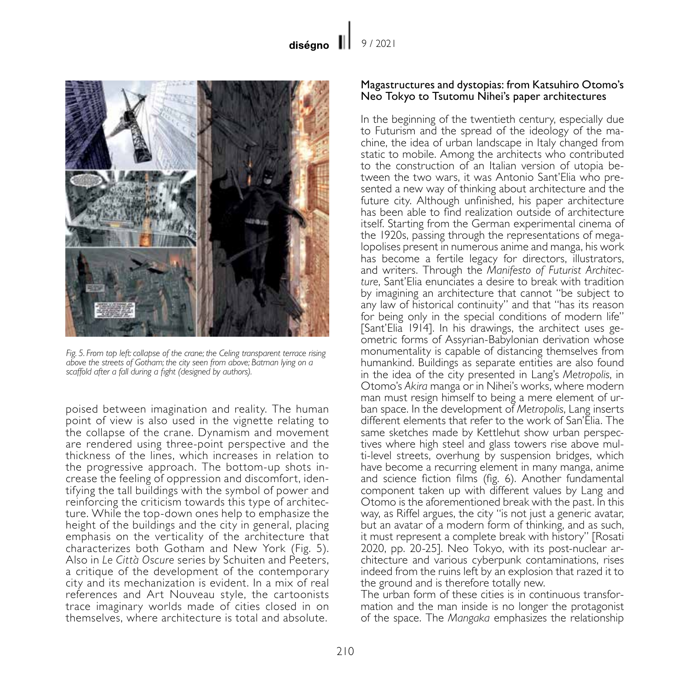

*Fig. 5. From top left: collapse of the crane; the Celing transparent terrace rising above the streets of Gotham; the city seen from above; Batman lying on a scaffold after a fall during a fight (designed by authors).*

poised between imagination and reality. The human point of view is also used in the vignette relating to the collapse of the crane. Dynamism and movement are rendered using three-point perspective and the thickness of the lines, which increases in relation to the progressive approach. The bottom-up shots increase the feeling of oppression and discomfort, identifying the tall buildings with the symbol of power and ture. While the top-down ones help to emphasize the height of the buildings and the city in general, placing emphasis on the verticality of the architecture that characterizes both Gotham and New York (Fig. 5). Also in *Le Città Oscure* series by Schuiten and Peeters, a critique of the development of the contemporary city and its mechanization is evident. In a mix of real references and Art Nouveau style, the cartoonists trace imaginary worlds made of cities closed in on themselves, where architecture is total and absolute.

## Magastructures and dystopias: from Katsuhiro Otomo's Neo Tokyo to Tsutomu Nihei's paper architectures

In the beginning of the twentieth century, especially due to Futurism and the spread of the ideology of the machine, the idea of urban land scape in Italy changed from static to mobile. Among the architects who contributed to the construction of an Italian version of utopia between the two wars, it was Antonio Sant'Elia who pre-<br>sented a new way of thinking about architecture and the future city. Although unfinished, his paper architecture has been able to find realization outside of architecture itself. Starting from the German experimental cinema of the 1920s, passing through the representations of megalopolises present in numerous anime and manga, his work has become a fertile legacy for directors, illustrators, and writers. Through the *Manifesto of Futurist Architecture*, Sant'Elia enunciates a desire to break with tradition by imagining an architecture that cannot "be subject to any law of historical continuity" and that "has its reason for being only in the special conditions of modern life" [Sant'Elia 1914]. In his drawings, the architect uses geometric forms of Assyrian-Babylonian derivation whose monumentality is capable of distancing themselves from humankind. Buildings as separate entities are also found in the idea of the city presented in Lang's *Metropolis*, in Otomo's *Akira* manga or in Nihei's works, where modern man must resign himself to being a mere element of urban space. In the development of *Metropolis*, Lang inserts different elements that refer to the work of San'Elia. The same sketches made by Kettlehut show urban perspectives where high steel and glass towers rise above multi-level streets, overhung by suspension bridges, which have become a recurring element in many manga, anime and science fiction films (fig. 6). Another fundamental component taken up with different values by Lang and Otomo is the aforementioned break with the past. In this way, as Riffel argues, the city "is not just a generic avatar, but an avatar of a modern form of thinking, and as such, it must represent a complete break with history" [Rosati 2020, pp. 20-25]. Neo Tokyo, with its post-nuclear ar- chitecture and various cyberpunk contaminations, rises indeed from the ruins left by an explosion that razed it to the ground and is therefore totally new.

The urban form of these cities is in continuous transformation and the man inside is no longer the protagonist of the space. The *Mangaka* emphasizes the relationship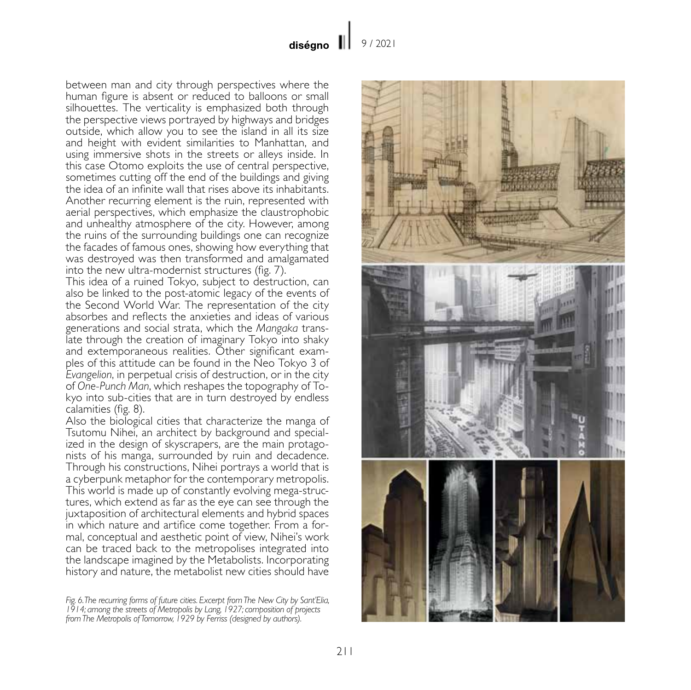between man and city through perspectives where the human figure is absent or reduced to balloons or small silhouettes. The verticality is emphasized both through the perspective views portrayed by highways and bridges outside, which allow you to see the island in all its size and height with evident similarities to Manhattan, and using immersive shots in the streets or alleys inside. In this case Otomo exploits the use of central perspective, sometimes cutting off the end of the buildings and giving the idea of an infinite wall that rises above its inhabitants. Another recurring element is the ruin, represented with aerial perspectives, which emphasize the claustrophobic and unhealthy atmosphere of the city. However, among the ruins of the surrounding buildings one can recognize the facades of famous ones, showing how everything that was destroyed was then transformed and amalgamated into the new ultra-modernist structures (fig. 7).

This idea of a ruined Tokyo, subject to destruction, can also be linked to the post-atomic legacy of the events of the Second World War. The representation of the city absorbes and reflects the anxieties and ideas of various generations and social strata, which the *Mangaka* translate through the creation of imaginary Tokyo into shaky and extemporaneous realities. Other significant examples of this attitude can be found in the Neo Tokyo 3 of *Evangelion*, in perpetual crisis of destruction, or in the city of *One-Punch Man*, which reshapes the topography of Tokyo into sub-cities that are in turn destroyed by endless calamities (fig. 8).

Also the biological cities that characterize the manga of Tsutomu Nihei, an architect by background and specialized in the design of skyscrapers, are the main protagonists of his manga, surrounded by ruin and decadence. Through his constructions, Nihei portrays a world that is a cyberpunk metaphor for the contemporary metropolis. This world is made up of constantly evolving mega-struc- tures, which extend as far as the eye can see through the juxtaposition of architectural elements and hybrid spaces in which nature and artifice come together. From a formal, conceptual and aesthetic point of view, Nihei's work can be traced back to the metropolises integrated into the landscape imagined by the Metabolists. Incorporating history and nature, the metabolist new cities should have

*Fig. 6. The recurring forms of future cities. Excerpt from The New City by Sant'Elia, 1914; among the streets of Metropolis by Lang, 1927; composition of projects from The Metropolis of Tomorrow, 1929 by Ferriss (designed by authors).*

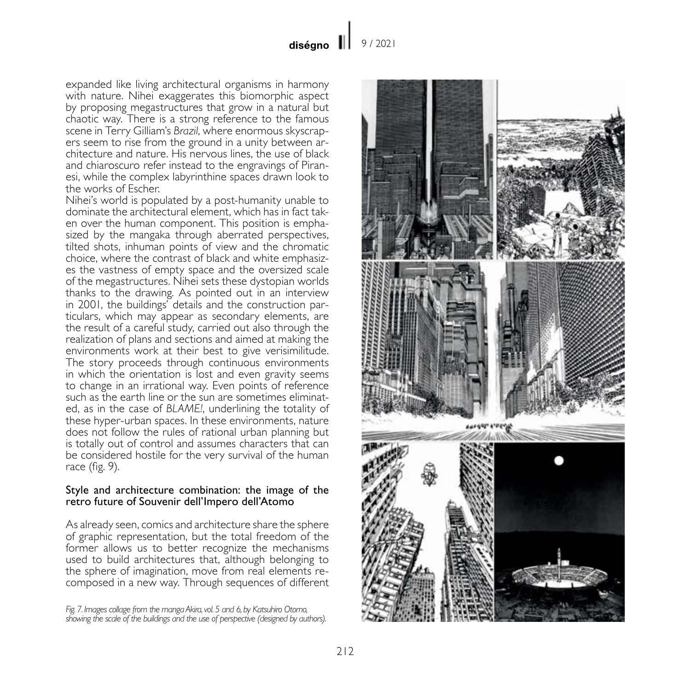expanded like living architectural organisms in harmony with nature. Nihei exaggerates this biomorphic aspect by proposing megastructures that grow in a natural but chaotic way. There is a strong reference to the famous scene in Terry Gilliam's *Brazil*, where enormous skyscrapers seem to rise from the ground in a unity between architecture and nature. His nervous lines, the use of black and chiaroscuro refer instead to the engravings of Piranesi, while the complex labyrinthine spaces drawn look to the works of Escher.

Nihei's world is populated by a post-humanity unable to dominate the architectural element, which has in fact taken over the human component. This position is emphasized by the mangaka through aberrated perspectives, tilted shots, inhuman points of view and the chromatic choice, where the contrast of black and white emphasizes the vastness of empty space and the oversized scale of the megastructures. Nihei sets these dystopian worlds thanks to the drawing. As pointed out in an interview in 2001, the buildings' details and the construction particulars, which may appear as secondary elements, are the result of a careful study, carried out also through the realization of plans and sections and aimed at making the environments work at their best to give verisimilitude. The story proceeds through continuous environments in which the orientation is lost and even gravity seems to change in an irrational way. Even points of reference such as the earth line or the sun are sometimes eliminated, as in the case of *BLAME!*, underlining the totality of these hyper-urban spaces. In these environments, nature does not follow the rules of rational urban planning but is totally out of control and assumes characters that can be considered hostile for the very survival of the human race (fig. 9).

## Style and architecture combination: the image of the retro future of Souvenir dell'Impero dell'Atomo

As already seen, comics and architecture share the sphere of graphic representation, but the total freedom of the former allows us to better recognize the mechanisms used to build architectures that, although belonging to the sphere of imagination, move from real elements recomposed in a new way. Through sequences of different

*Fig. 7. Images collage from the manga Akira, vol. 5 and 6, by Katsuhiro Otomo, showing the scale of the buildings and the use of perspective (designed by authors).*

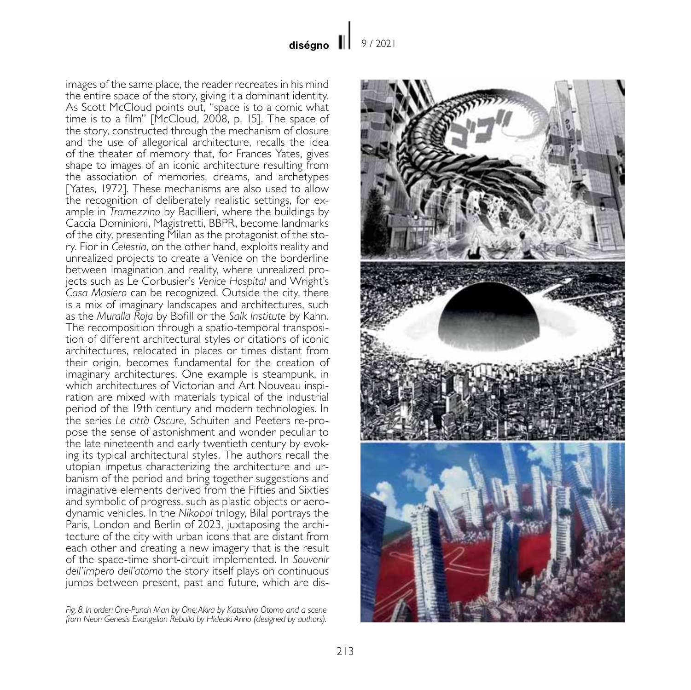images of the same place, the reader recreates in his mind the entire space of the story, giving it a dominant identity. As Scott McCloud points out, "space is to a comic what time is to a film" [McCloud, 2008, p. 15]. The space of the story, constructed through the mechanism of closure and the use of allegorical architecture, recalls the idea of the theater of memory that, for Frances Yates, gives shape to images of an iconic architecture resulting from the association of memories, dreams, and archetypes [Yates, 1972]. These mechanisms are also used to allow the recognition of deliberately realistic settings, for example in *Tramezzino* by Bacillieri, where the buildings by Caccia Dominioni, Magistretti, BBPR, become landmarks of the city, presenting Milan as the protagonist of the story. Fior in *Celestia*, on the other hand, exploits reality and unrealized projects to create a Venice on the borderline between imagination and reality, where unrealized projects such as Le Corbusier's *Venice Hospital* and Wright's *Casa Masiero* can be recognized. Outside the city, there is a mix of imaginary landscapes and architectures, such as the *Muralla Roja* by Bofill or the *Salk Institute* by Kahn. The recomposition through a spatio-temporal transposition of different architectural styles or citations of iconic architectures, relocated in places or times distant from their origin, becomes fundamental for the creation of imaginary architectures. One example is steampunk, in which architectures of Victorian and Art Nouveau inspiration are mixed with materials typical of the industrial period of the 19th century and modern technologies. In the series *Le città Oscure*, Schuiten and Peeters re-propose the sense of astonishment and wonder peculiar to the late nineteenth and early twentieth century by evoking its typical architectural styles. The authors recall the utopian impetus characterizing the architecture and urbanism of the period and bring together suggestions and imaginative elements derived from the Fifties and Sixties and symbolic of progress, such as plastic objects or aerodynamic vehicles. In the *Nikopol* trilogy, Bilal portrays the Paris, London and Berlin of 2023, juxtaposing the architecture of the city with urban icons that are distant from each other and creating a new imagery that is the result of the space-time short-circuit implemented. In *Souvenir dell'impero dell'atomo* the story itself plays on continuous jumps between present, past and future, which are dis-

*Fig. 8. In order: One-Punch Man by One; Akira by Katsuhiro Otomo and a scene from Neon Genesis Evangelion Rebuild by Hideaki Anno (designed by authors).*

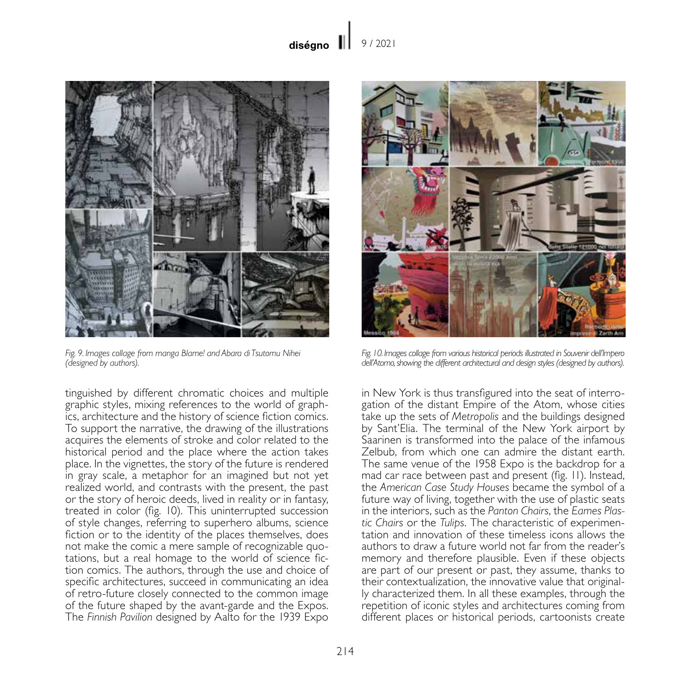

*Fig. 9. Images collage from manga Blame! and Abara di Tsutomu Nihei (designed by authors).*

tinguished by different chromatic choices and multiple graphic styles, mixing references to the world of graphics, architecture and the history of science fiction comics. To support the narrative, the drawing of the illustrations acquires the elements of stroke and color related to the historical period and the place where the action takes place. In the vignettes, the story of the future is rendered in gray scale, a metaphor for an imagined but not yet realized world, and contrasts with the present, the past or the story of heroic deeds, lived in reality or in fantasy, treated in color (fig. 10). This uninterrupted succession of style changes, referring to superhero albums, science fiction or to the identity of the places themselves, does not make the comic a mere sample of recognizable quotations, but a real homage to the world of science fiction comics. The authors, through the use and choice of specific architectures, succeed in communicating an idea of retro-future closely connected to the common image of the future shaped by the avant-garde and the Expos. The *Finnish Pavilion* designed by Aalto for the 1939 Expo



*Fig. 10. Images collage from various historical periods illustrated in Souvenir dell'Impero dell'Atomo, showing the different architectural and design styles (designed by authors).*

in New York is thus transfigured into the seat of interrogation of the distant Empire of the Atom, whose cities take up the sets of *Metropolis* and the buildings designed by Sant'Elia. The terminal of the New York airport by Saarinen is transformed into the palace of the infamous Zelbub, from which one can admire the distant earth. The same venue of the 1958 Expo is the backdrop for a mad car race between past and present (fig. 11). Instead, the *American Case Study Houses* became the symbol of a future way of living, together with the use of plastic seats in the interiors, such as the *Panton Chairs*, the *Eames Plastic Chairs* or the *Tulips*. The characteristic of experimentation and innovation of these timeless icons allows the authors to draw a future world not far from the reader's memory and therefore plausible. Even if these objects are part of our present or past, they assume, thanks to their contextualization, the innovative value that originally characterized them. In all these examples, through the repetition of iconic styles and architectures coming from different places or historical periods, cartoonists create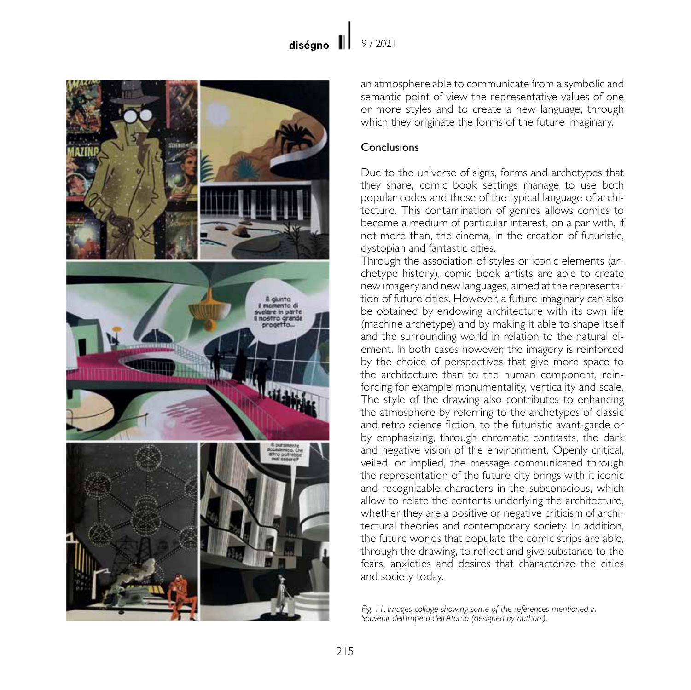

an atmosphere able to communicate from a symbolic and semantic point of view the representative values of one or more styles and to create a new language, through which they originate the forms of the future imaginary.

## Conclusions

Due to the universe of signs, forms and archetypes that they share, comic book settings manage to use both popular codes and those of the typical language of architecture. This contamination of genres allows comics to become a medium of particular interest, on a par with, if not more than, the cinema, in the creation of futuristic, dystopian and fantastic cities.

Through the association of styles or iconic elements (archetype history), comic book artists are able to create new imagery and new languages, aimed at the representation of future cities. However, a future imaginary can also be obtained by endowing architecture with its own life (machine archetype) and by making it able to shape itself and the surrounding world in relation to the natural element. In both cases however, the imagery is reinforced by the choice of perspectives that give more space to the architecture than to the human component, reinforcing for example monumentality, verticality and scale. The style of the drawing also contributes to enhancing the atmosphere by referring to the archetypes of classic and retro science fiction, to the futuristic avant-garde or by emphasizing, through chromatic contrasts, the dark and negative vision of the environment. Openly critical, veiled, or implied, the message communicated through the representation of the future city brings with it iconic and recognizable characters in the subconscious, which allow to relate the contents underlying the architecture, whether they are a positive or negative criticism of architectural theories and contemporary society. In addition, the future worlds that populate the comic strips are able, through the drawing, to reflect and give substance to the fears, anxieties and desires that characterize the cities and society today.

*Fig. 11. Images collage showing some of the references mentioned in Souvenir dell'Impero dell'Atomo (designed by authors).*